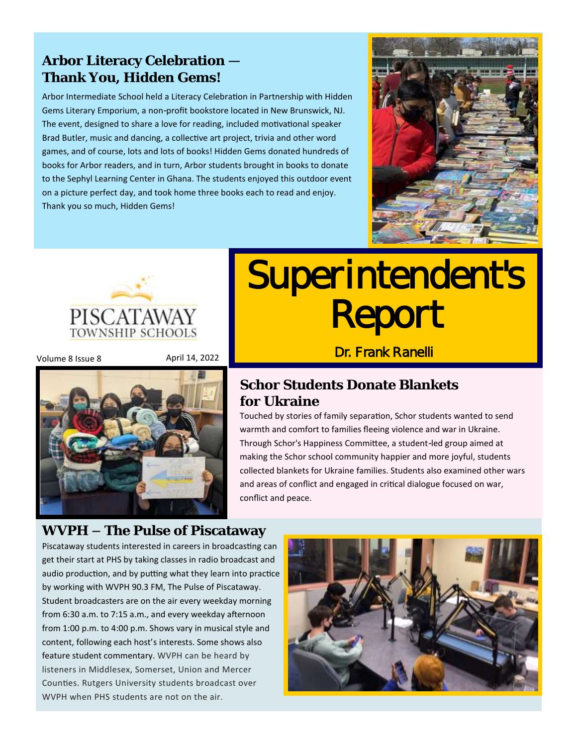## **Arbor Literacy Celebration — Thank You, Hidden Gems!**

Arbor Intermediate School held a Literacy Celebration in Partnership with Hidden Gems Literary Emporium, a non-profit bookstore located in New Brunswick, NJ. The event, designed to share a love for reading, included motivational speaker Brad Butler, music and dancing, a collective art project, trivia and other word games, and of course, lots and lots of books! Hidden Gems donated hundreds of books for Arbor readers, and in turn, Arbor students brought in books to donate to the Sephyl Learning Center in Ghana. The students enjoyed this outdoor event on a picture perfect day, and took home three books each to read and enjoy. Thank you so much, Hidden Gems!





Volume 8 Issue 8 April 14, 2022



# **Superintendent's Report**

Dr. Frank Ranelli

### **Schor Students Donate Blankets for Ukraine**

Touched by stories of family separation, Schor students wanted to send warmth and comfort to families fleeing violence and war in Ukraine. Through Schor's Happiness Committee, a student-led group aimed at making the Schor school community happier and more joyful, students collected blankets for Ukraine families. Students also examined other wars and areas of conflict and engaged in critical dialogue focused on war, conflict and peace.

#### **WVPH – The Pulse of Piscataway**

Piscataway students interested in careers in broadcasting can get their start at PHS by taking classes in radio broadcast and audio production, and by putting what they learn into practice by working with WVPH 90.3 FM, The Pulse of Piscataway. Student broadcasters are on the air every weekday morning from 6:30 a.m. to 7:15 a.m., and every weekday afternoon from 1:00 p.m. to 4:00 p.m. Shows vary in musical style and content, following each host's interests. Some shows also feature student commentary. WVPH can be heard by listeners in Middlesex, Somerset, Union and Mercer Counties. Rutgers University students broadcast over WVPH when PHS students are not on the air.

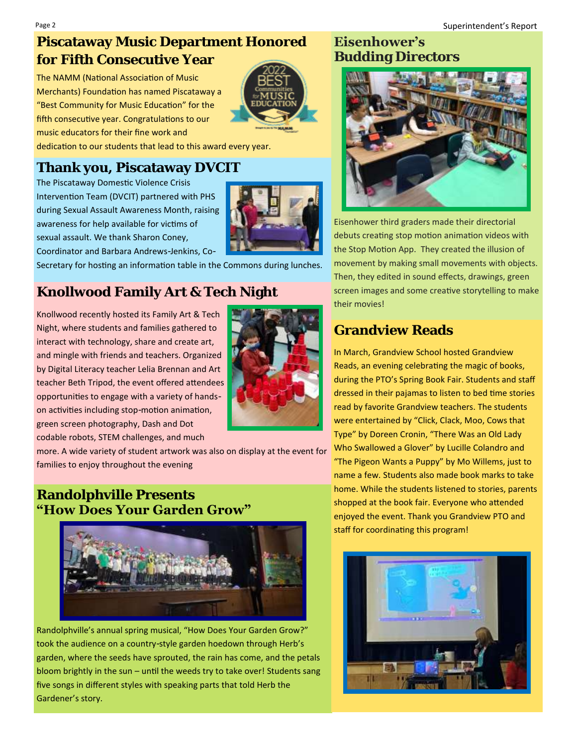## **Piscataway Music Department Honored for Fifth Consecutive Year**

The NAMM (National Association of Music Merchants) Foundation has named Piscataway a "Best Community for Music Education" for the fifth consecutive year. Congratulations to our music educators for their fine work and



dedication to our students that lead to this award every year.

# **Thank you, Piscataway DVCIT**

The Piscataway Domestic Violence Crisis Intervention Team (DVCIT) partnered with PHS during Sexual Assault Awareness Month, raising awareness for help available for victims of sexual assault. We thank Sharon Coney, Coordinator and Barbara Andrews-Jenkins, Co-

Secretary for hosting an information table in the Commons during lunches.

# **Knollwood Family Art & Tech Night**

Knollwood recently hosted its Family Art & Tech Night, where students and families gathered to interact with technology, share and create art, and mingle with friends and teachers. Organized by Digital Literacy teacher Lelia Brennan and Art teacher Beth Tripod, the event offered attendees opportunities to engage with a variety of handson activities including stop-motion animation, green screen photography, Dash and Dot codable robots, STEM challenges, and much



more. A wide variety of student artwork was also on display at the event for families to enjoy throughout the evening

#### **Randolphville Presents "How Does Your Garden Grow"**



Randolphville's annual spring musical, "How Does Your Garden Grow?" took the audience on a country-style garden hoedown through Herb's garden, where the seeds have sprouted, the rain has come, and the petals bloom brightly in the sun – until the weeds try to take over! Students sang five songs in different styles with speaking parts that told Herb the Gardener's story.

#### **Eisenhower's Budding Directors**



Eisenhower third graders made their directorial debuts creating stop motion animation videos with the Stop Motion App. They created the illusion of movement by making small movements with objects. Then, they edited in sound effects, drawings, green screen images and some creative storytelling to make their movies!

## **Grandview Reads**

In March, Grandview School hosted Grandview Reads, an evening celebrating the magic of books, during the PTO's Spring Book Fair. Students and staff dressed in their pajamas to listen to bed time stories read by favorite Grandview teachers. The students were entertained by "Click, Clack, Moo, Cows that Type" by Doreen Cronin, "There Was an Old Lady Who Swallowed a Glover" by Lucille Colandro and "The Pigeon Wants a Puppy" by Mo Willems, just to name a few. Students also made book marks to take home. While the students listened to stories, parents shopped at the book fair. Everyone who attended enjoyed the event. Thank you Grandview PTO and staff for coordinating this program!

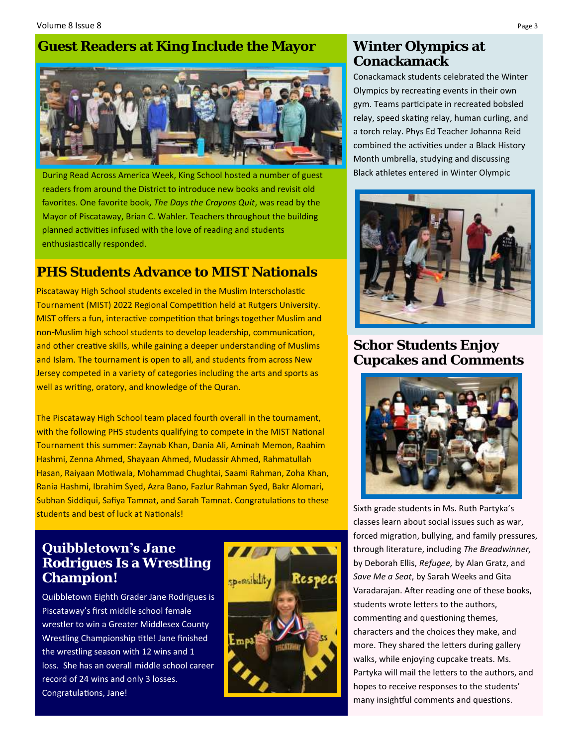## **Guest Readers at King Include the Mayor**



During Read Across America Week, King School hosted a number of guest readers from around the District to introduce new books and revisit old favorites. One favorite book, *The Days the Crayons Quit*, was read by the Mayor of Piscataway, Brian C. Wahler. Teachers throughout the building planned activities infused with the love of reading and students enthusiastically responded.

### **PHS Students Advance to MIST Nationals**

Piscataway High School students exceled in the Muslim Interscholastic Tournament (MIST) 2022 Regional Competition held at Rutgers University. MIST offers a fun, interactive competition that brings together Muslim and non-Muslim high school students to develop leadership, communication, and other creative skills, while gaining a deeper understanding of Muslims and Islam. The tournament is open to all, and students from across New Jersey competed in a variety of categories including the arts and sports as well as writing, oratory, and knowledge of the Quran.

The Piscataway High School team placed fourth overall in the tournament, with the following PHS students qualifying to compete in the MIST National Tournament this summer: Zaynab Khan, Dania Ali, Aminah Memon, Raahim Hashmi, Zenna Ahmed, Shayaan Ahmed, Mudassir Ahmed, Rahmatullah Hasan, Raiyaan Motiwala, Mohammad Chughtai, Saami Rahman, Zoha Khan, Rania Hashmi, Ibrahim Syed, Azra Bano, Fazlur Rahman Syed, Bakr Alomari, Subhan Siddiqui, Safiya Tamnat, and Sarah Tamnat. Congratulations to these students and best of luck at Nationals!

## **Quibbletown's Jane Rodrigues Is a Wrestling Champion!**

Quibbletown Eighth Grader Jane Rodrigues is Piscataway's first middle school female wrestler to win a Greater Middlesex County Wrestling Championship title! Jane finished the wrestling season with 12 wins and 1 loss. She has an overall middle school career record of 24 wins and only 3 losses. Congratulations, Jane!



## **Winter Olympics at Conackamack**

Conackamack students celebrated the Winter Olympics by recreating events in their own gym. Teams participate in recreated bobsled relay, speed skating relay, human curling, and a torch relay. Phys Ed Teacher Johanna Reid combined the activities under a Black History Month umbrella, studying and discussing Black athletes entered in Winter Olympic



#### **Schor Students Enjoy Cupcakes and Comments**



Sixth grade students in Ms. Ruth Partyka's classes learn about social issues such as war, forced migration, bullying, and family pressures, through literature, including *The Breadwinner,* by Deborah Ellis, *Refugee,* by Alan Gratz, and *Save Me a Seat*, by Sarah Weeks and Gita Varadarajan. After reading one of these books, students wrote letters to the authors, commenting and questioning themes, characters and the choices they make, and more. They shared the letters during gallery walks, while enjoying cupcake treats. Ms. Partyka will mail the letters to the authors, and hopes to receive responses to the students' many insightful comments and questions.